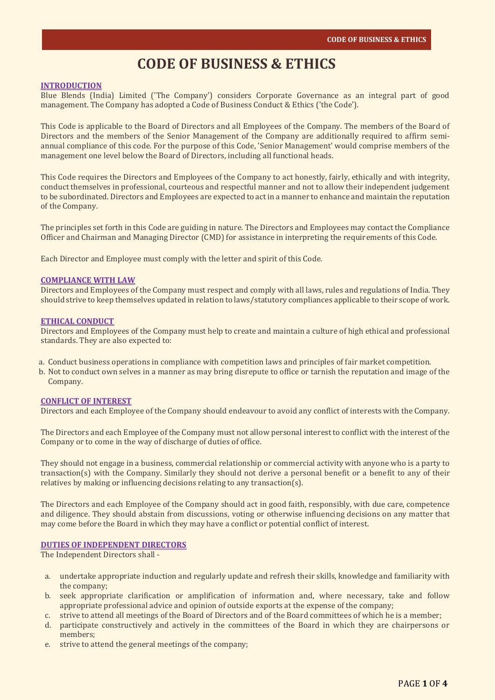# **CODE OF BUSINESS & ETHICS**

#### **INTRODUCTION**

Blue Blends (India) Limited ('The Company') considers Corporate Governance as an integral part of good management. The Company has adopted a Code of Business Conduct & Ethics ('the Code').

This Code is applicable to the Board of Directors and all Employees of the Company. The members of the Board of Directors and the members of the Senior Management of the Company are additionally required to affirm semiannual compliance of this code. For the purpose of this Code, 'Senior Management' would comprise members of the management one level below the Board of Directors, including all functional heads.

This Code requires the Directors and Employees of the Company to act honestly, fairly, ethically and with integrity, conduct themselves in professional, courteous and respectful manner and not to allow their independent judgement to be subordinated. Directors and Employees are expected to act in a manner to enhance and maintain the reputation of the Company.

The principles set forth in this Code are guiding in nature. The Directors and Employees may contact the Compliance Officer and Chairman and Managing Director (CMD) for assistance in interpreting the requirements of this Code.

Each Director and Employee must comply with the letter and spirit of this Code.

#### **COMPLIANCE WITH LAW**

Directors and Employees of the Company must respect and comply with all laws, rules and regulations of India. They should strive to keep themselves updated in relation to laws/statutory compliances applicable to their scope of work.

#### **ETHICAL CONDUCT**

Directors and Employees of the Company must help to create and maintain a culture of high ethical and professional standards. They are also expected to:

- a. Conduct business operations in compliance with competition laws and principles of fair market competition.
- b. Not to conduct own selves in a manner as may bring disrepute to office or tarnish the reputation and image of the Company.

#### **CONFLICT OF INTEREST**

Directors and each Employee of the Company should endeavour to avoid any conflict of interests with the Company.

The Directors and each Employee of the Company must not allow personal interest to conflict with the interest of the Company or to come in the way of discharge of duties of office.

They should not engage in a business, commercial relationship or commercial activity with anyone who is a party to transaction(s) with the Company. Similarly they should not derive a personal benefit or a benefit to any of their relatives by making or influencing decisions relating to any transaction(s).

The Directors and each Employee of the Company should act in good faith, responsibly, with due care, competence and diligence. They should abstain from discussions, voting or otherwise influencing decisions on any matter that may come before the Board in which they may have a conflict or potential conflict of interest.

# **DUTIES OF INDEPENDENT DIRECTORS**

The Independent Directors shall -

- a. undertake appropriate induction and regularly update and refresh their skills, knowledge and familiarity with the company;
- b. seek appropriate clarification or amplification of information and, where necessary, take and follow appropriate professional advice and opinion of outside exports at the expense of the company;
- c. strive to attend all meetings of the Board of Directors and of the Board committees of which he is a member;
- d. participate constructively and actively in the committees of the Board in which they are chairpersons or members;
- e. strive to attend the general meetings of the company;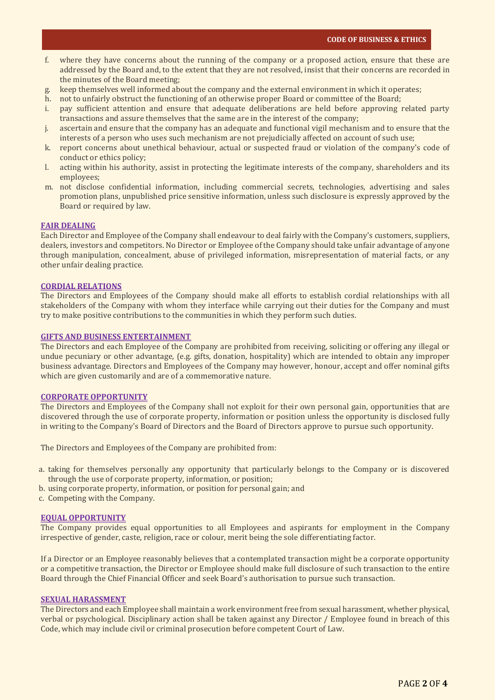- f. where they have concerns about the running of the company or a proposed action, ensure that these are addressed by the Board and, to the extent that they are not resolved, insist that their concerns are recorded in the minutes of the Board meeting;
- keep themselves well informed about the company and the external environment in which it operates;
- h. not to unfairly obstruct the functioning of an otherwise proper Board or committee of the Board;
- i. pay sufficient attention and ensure that adequate deliberations are held before approving related party transactions and assure themselves that the same are in the interest of the company;
- j. ascertain and ensure that the company has an adequate and functional vigil mechanism and to ensure that the interests of a person who uses such mechanism are not prejudicially affected on account of such use;
- k. report concerns about unethical behaviour, actual or suspected fraud or violation of the company's code of conduct or ethics policy;
- l. acting within his authority, assist in protecting the legitimate interests of the company, shareholders and its employees;
- m. not disclose confidential information, including commercial secrets, technologies, advertising and sales promotion plans, unpublished price sensitive information, unless such disclosure is expressly approved by the Board or required by law.

#### **FAIR DEALING**

Each Director and Employee of the Company shall endeavour to deal fairly with the Company's customers, suppliers, dealers, investors and competitors. No Director or Employee of the Company should take unfair advantage of anyone through manipulation, concealment, abuse of privileged information, misrepresentation of material facts, or any other unfair dealing practice.

#### **CORDIAL RELATIONS**

The Directors and Employees of the Company should make all efforts to establish cordial relationships with all stakeholders of the Company with whom they interface while carrying out their duties for the Company and must try to make positive contributions to the communities in which they perform such duties.

# **GIFTS AND BUSINESS ENTERTAINMENT**

The Directors and each Employee of the Company are prohibited from receiving, soliciting or offering any illegal or undue pecuniary or other advantage, (e.g. gifts, donation, hospitality) which are intended to obtain any improper business advantage. Directors and Employees of the Company may however, honour, accept and offer nominal gifts which are given customarily and are of a commemorative nature.

## **CORPORATE OPPORTUNITY**

The Directors and Employees of the Company shall not exploit for their own personal gain, opportunities that are discovered through the use of corporate property, information or position unless the opportunity is disclosed fully in writing to the Company's Board of Directors and the Board of Directors approve to pursue such opportunity.

The Directors and Employees of the Company are prohibited from:

- a. taking for themselves personally any opportunity that particularly belongs to the Company or is discovered through the use of corporate property, information, or position;
- b. using corporate property, information, or position for personal gain; and
- c. Competing with the Company.

#### **EQUAL OPPORTUNITY**

The Company provides equal opportunities to all Employees and aspirants for employment in the Company irrespective of gender, caste, religion, race or colour, merit being the sole differentiating factor.

If a Director or an Employee reasonably believes that a contemplated transaction might be a corporate opportunity or a competitive transaction, the Director or Employee should make full disclosure of such transaction to the entire Board through the Chief Financial Officer and seek Board's authorisation to pursue such transaction.

#### **SEXUAL HARASSMENT**

The Directors and each Employee shall maintain a work environment free from sexual harassment, whether physical, verbal or psychological. Disciplinary action shall be taken against any Director / Employee found in breach of this Code, which may include civil or criminal prosecution before competent Court of Law.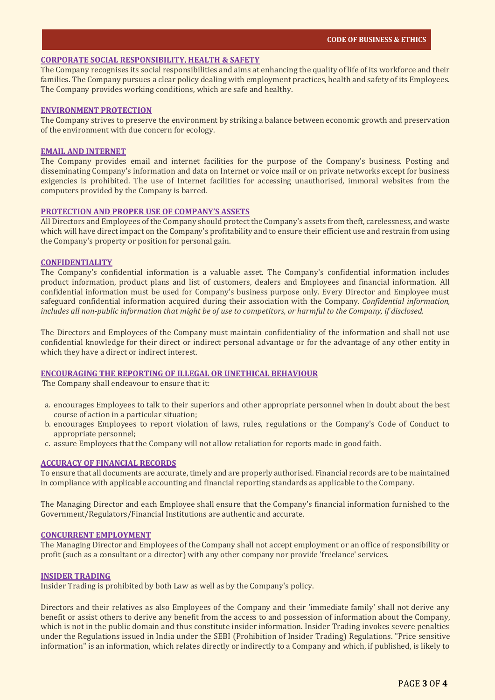# **CORPORATE SOCIAL RESPONSIBILITY, HEALTH & SAFETY**

The Company recognises its social responsibilities and aims at enhancing the quality of life of its workforce and their families. The Company pursues a clear policy dealing with employment practices, health and safety of its Employees. The Company provides working conditions, which are safe and healthy.

## **ENVIRONMENT PROTECTION**

The Company strives to preserve the environment by striking a balance between economic growth and preservation of the environment with due concern for ecology.

# **EMAIL AND INTERNET**

The Company provides email and internet facilities for the purpose of the Company's business. Posting and disseminating Company's information and data on Internet or voice mail or on private networks except for business exigencies is prohibited. The use of Internet facilities for accessing unauthorised, immoral websites from the computers provided by the Company is barred.

## **PROTECTION AND PROPER USE OF COMPANY'S ASSETS**

All Directors and Employees of the Company should protect the Company's assets from theft, carelessness, and waste which will have direct impact on the Company's profitability and to ensure their efficient use and restrain from using the Company's property or position for personal gain.

## **CONFIDENTIALITY**

The Company's confidential information is a valuable asset. The Company's confidential information includes product information, product plans and list of customers, dealers and Employees and financial information. All confidential information must be used for Company's business purpose only. Every Director and Employee must safeguard confidential information acquired during their association with the Company. *Confidential information, includes all non-public information that might be of use to competitors, or harmful to the Company, if disclosed.*

The Directors and Employees of the Company must maintain confidentiality of the information and shall not use confidential knowledge for their direct or indirect personal advantage or for the advantage of any other entity in which they have a direct or indirect interest.

## **ENCOURAGING THE REPORTING OF ILLEGAL OR UNETHICAL BEHAVIOUR**

The Company shall endeavour to ensure that it:

- a. encourages Employees to talk to their superiors and other appropriate personnel when in doubt about the best course of action in a particular situation;
- b. encourages Employees to report violation of laws, rules, regulations or the Company's Code of Conduct to appropriate personnel;
- c. assure Employees that the Company will not allow retaliation for reports made in good faith.

## **ACCURACY OF FINANCIAL RECORDS**

To ensure that all documents are accurate, timely and are properly authorised. Financial records are to be maintained in compliance with applicable accounting and financial reporting standards as applicable to the Company.

The Managing Director and each Employee shall ensure that the Company's financial information furnished to the Government/Regulators/Financial Institutions are authentic and accurate.

## **CONCURRENT EMPLOYMENT**

The Managing Director and Employees of the Company shall not accept employment or an office of responsibility or profit (such as a consultant or a director) with any other company nor provide 'freelance' services.

# **INSIDER TRADING**

Insider Trading is prohibited by both Law as well as by the Company's policy.

Directors and their relatives as also Employees of the Company and their 'immediate family' shall not derive any benefit or assist others to derive any benefit from the access to and possession of information about the Company, which is not in the public domain and thus constitute insider information. Insider Trading invokes severe penalties under the Regulations issued in India under the SEBI (Prohibition of Insider Trading) Regulations. "Price sensitive information" is an information, which relates directly or indirectly to a Company and which, if published, is likely to